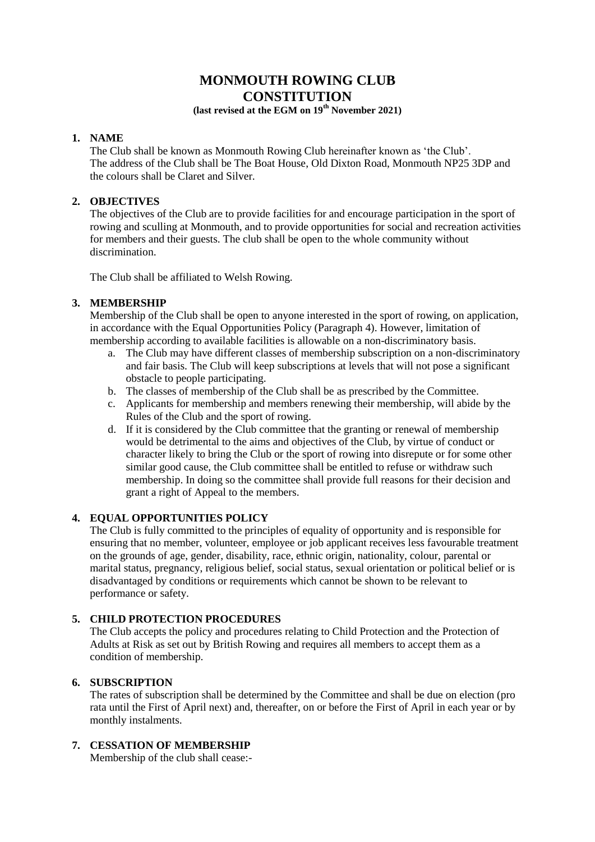# **MONMOUTH ROWING CLUB CONSTITUTION**

# **(last revised at the EGM on 19th November 2021)**

## **1. NAME**

The Club shall be known as Monmouth Rowing Club hereinafter known as 'the Club'. The address of the Club shall be The Boat House, Old Dixton Road, Monmouth NP25 3DP and the colours shall be Claret and Silver.

## **2. OBJECTIVES**

The objectives of the Club are to provide facilities for and encourage participation in the sport of rowing and sculling at Monmouth, and to provide opportunities for social and recreation activities for members and their guests. The club shall be open to the whole community without discrimination.

The Club shall be affiliated to Welsh Rowing.

# **3. MEMBERSHIP**

Membership of the Club shall be open to anyone interested in the sport of rowing, on application, in accordance with the Equal Opportunities Policy (Paragraph 4). However, limitation of membership according to available facilities is allowable on a non-discriminatory basis.

- a. The Club may have different classes of membership subscription on a non-discriminatory and fair basis. The Club will keep subscriptions at levels that will not pose a significant obstacle to people participating.
- b. The classes of membership of the Club shall be as prescribed by the Committee.
- c. Applicants for membership and members renewing their membership, will abide by the Rules of the Club and the sport of rowing.
- d. If it is considered by the Club committee that the granting or renewal of membership would be detrimental to the aims and objectives of the Club, by virtue of conduct or character likely to bring the Club or the sport of rowing into disrepute or for some other similar good cause, the Club committee shall be entitled to refuse or withdraw such membership. In doing so the committee shall provide full reasons for their decision and grant a right of Appeal to the members.

# **4. EQUAL OPPORTUNITIES POLICY**

The Club is fully committed to the principles of equality of opportunity and is responsible for ensuring that no member, volunteer, employee or job applicant receives less favourable treatment on the grounds of age, gender, disability, race, ethnic origin, nationality, colour, parental or marital status, pregnancy, religious belief, social status, sexual orientation or political belief or is disadvantaged by conditions or requirements which cannot be shown to be relevant to performance or safety.

# **5. CHILD PROTECTION PROCEDURES**

The Club accepts the policy and procedures relating to Child Protection and the Protection of Adults at Risk as set out by British Rowing and requires all members to accept them as a condition of membership.

# **6. SUBSCRIPTION**

The rates of subscription shall be determined by the Committee and shall be due on election (pro rata until the First of April next) and, thereafter, on or before the First of April in each year or by monthly instalments.

# **7. CESSATION OF MEMBERSHIP**

Membership of the club shall cease:-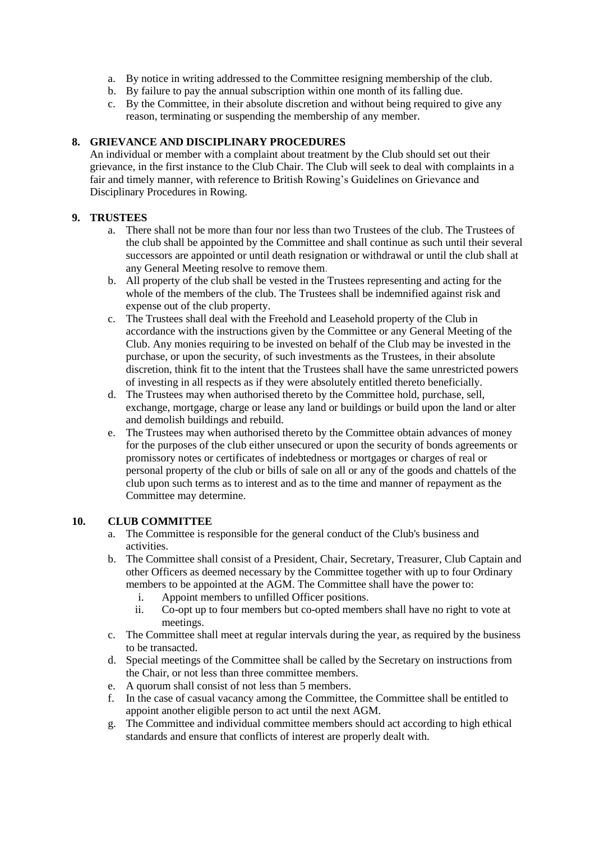- a. By notice in writing addressed to the Committee resigning membership of the club.
- b. By failure to pay the annual subscription within one month of its falling due.
- c. By the Committee, in their absolute discretion and without being required to give any reason, terminating or suspending the membership of any member.

## **8. GRIEVANCE AND DISCIPLINARY PROCEDURES**

An individual or member with a complaint about treatment by the Club should set out their grievance, in the first instance to the Club Chair. The Club will seek to deal with complaints in a fair and timely manner, with reference to British Rowing's Guidelines on Grievance and Disciplinary Procedures in Rowing.

# **9. TRUSTEES**

- a. There shall not be more than four nor less than two Trustees of the club. The Trustees of the club shall be appointed by the Committee and shall continue as such until their several successors are appointed or until death resignation or withdrawal or until the club shall at any General Meeting resolve to remove them.
- b. All property of the club shall be vested in the Trustees representing and acting for the whole of the members of the club. The Trustees shall be indemnified against risk and expense out of the club property.
- c. The Trustees shall deal with the Freehold and Leasehold property of the Club in accordance with the instructions given by the Committee or any General Meeting of the Club. Any monies requiring to be invested on behalf of the Club may be invested in the purchase, or upon the security, of such investments as the Trustees, in their absolute discretion, think fit to the intent that the Trustees shall have the same unrestricted powers of investing in all respects as if they were absolutely entitled thereto beneficially.
- d. The Trustees may when authorised thereto by the Committee hold, purchase, sell, exchange, mortgage, charge or lease any land or buildings or build upon the land or alter and demolish buildings and rebuild.
- e. The Trustees may when authorised thereto by the Committee obtain advances of money for the purposes of the club either unsecured or upon the security of bonds agreements or promissory notes or certificates of indebtedness or mortgages or charges of real or personal property of the club or bills of sale on all or any of the goods and chattels of the club upon such terms as to interest and as to the time and manner of repayment as the Committee may determine.

#### **10. CLUB COMMITTEE**

- a. The Committee is responsible for the general conduct of the Club's business and activities.
- b. The Committee shall consist of a President, Chair, Secretary, Treasurer, Club Captain and other Officers as deemed necessary by the Committee together with up to four Ordinary members to be appointed at the AGM. The Committee shall have the power to:
	- i. Appoint members to unfilled Officer positions.
	- ii. Co-opt up to four members but co-opted members shall have no right to vote at meetings.
- c. The Committee shall meet at regular intervals during the year, as required by the business to be transacted.
- d. Special meetings of the Committee shall be called by the Secretary on instructions from the Chair, or not less than three committee members.
- e. A quorum shall consist of not less than 5 members.
- f. In the case of casual vacancy among the Committee, the Committee shall be entitled to appoint another eligible person to act until the next AGM.
- g. The Committee and individual committee members should act according to high ethical standards and ensure that conflicts of interest are properly dealt with.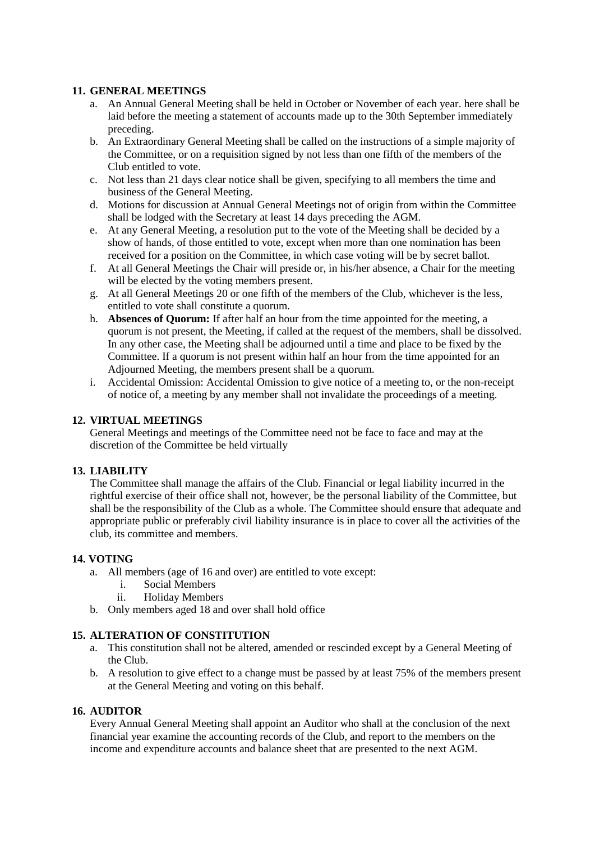## **11. GENERAL MEETINGS**

- a. An Annual General Meeting shall be held in October or November of each year. here shall be laid before the meeting a statement of accounts made up to the 30th September immediately preceding.
- b. An Extraordinary General Meeting shall be called on the instructions of a simple majority of the Committee, or on a requisition signed by not less than one fifth of the members of the Club entitled to vote.
- c. Not less than 21 days clear notice shall be given, specifying to all members the time and business of the General Meeting.
- d. Motions for discussion at Annual General Meetings not of origin from within the Committee shall be lodged with the Secretary at least 14 days preceding the AGM.
- e. At any General Meeting, a resolution put to the vote of the Meeting shall be decided by a show of hands, of those entitled to vote, except when more than one nomination has been received for a position on the Committee, in which case voting will be by secret ballot.
- f. At all General Meetings the Chair will preside or, in his/her absence, a Chair for the meeting will be elected by the voting members present.
- g. At all General Meetings 20 or one fifth of the members of the Club, whichever is the less, entitled to vote shall constitute a quorum.
- h. **Absences of Quorum:** If after half an hour from the time appointed for the meeting, a quorum is not present, the Meeting, if called at the request of the members, shall be dissolved. In any other case, the Meeting shall be adjourned until a time and place to be fixed by the Committee. If a quorum is not present within half an hour from the time appointed for an Adjourned Meeting, the members present shall be a quorum.
- i. Accidental Omission: Accidental Omission to give notice of a meeting to, or the non-receipt of notice of, a meeting by any member shall not invalidate the proceedings of a meeting.

#### **12. VIRTUAL MEETINGS**

General Meetings and meetings of the Committee need not be face to face and may at the discretion of the Committee be held virtually

#### **13. LIABILITY**

The Committee shall manage the affairs of the Club. Financial or legal liability incurred in the rightful exercise of their office shall not, however, be the personal liability of the Committee, but shall be the responsibility of the Club as a whole. The Committee should ensure that adequate and appropriate public or preferably civil liability insurance is in place to cover all the activities of the club, its committee and members.

#### **14. VOTING**

- a. All members (age of 16 and over) are entitled to vote except:
	- i. Social Members
	- ii. Holiday Members
- b. Only members aged 18 and over shall hold office

#### **15. ALTERATION OF CONSTITUTION**

- a. This constitution shall not be altered, amended or rescinded except by a General Meeting of the Club.
- b. A resolution to give effect to a change must be passed by at least 75% of the members present at the General Meeting and voting on this behalf.

#### **16. AUDITOR**

Every Annual General Meeting shall appoint an Auditor who shall at the conclusion of the next financial year examine the accounting records of the Club, and report to the members on the income and expenditure accounts and balance sheet that are presented to the next AGM.